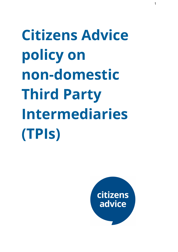**Citizens Advice policy on non-domestic Third Party Intermediaries (TPIs)**

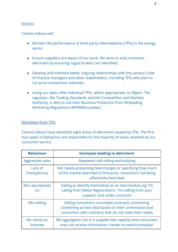## **Actions**

Citizens Advice will;

- Monitor the performance of third party intermediaries (TPIs) in the energy sector;
- Ensure suppliers are aware of our work. We want to stop consumer detriment by ensuring rogue brokers are identified;
- Develop and maintain better ongoing relationships with the various Code of Practice managers and other stakeholders, including TPIs who plan to run price comparison websites;
- Using our data, refer individual TPIs, where appropriate, to Ofgem. The regulator, like Trading Standards and the Competition and Markets Authority, is able to use their Business Protection from Misleading Marketing Regulations (BPMMRs) powers.

## Detriment from TPIs

Citizens Advice have identified eight areas of detriment caused by TPIs. The first four types of behaviour are responsible for the majority of cases received by our consumer service;

| <b>Behaviour</b>          | <b>Examples leading to detriment</b>                                                                                                                                |
|---------------------------|---------------------------------------------------------------------------------------------------------------------------------------------------------------------|
| <b>Aggressive sales</b>   | Repeated cold calling and bullying                                                                                                                                  |
| Lack of<br>transparency   | Not clearly presenting fees/charges or specifying how much<br>of the market searched to find price, consumers not being<br>offered the best deal                    |
| Mis-representati<br>on    | Failing to identify themselves as an intermediary eg 'I'm<br>calling from Meter Registrations', 'I'm calling from your<br>supplier' and unfair contracts            |
| Mis-selling               | Selling consumers unsuitable contracts, presenting<br>something as best deal based on their commission and<br>consumers with contracts that do not meet their needs |
| No clarity on<br>licensee | Bill aggregators act in a supplier-like capacity and consumers<br>may not receive information; harder to switch/complain                                            |